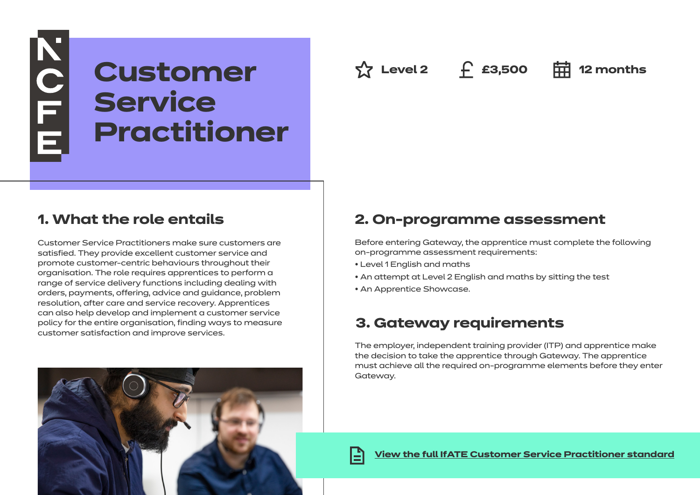# **Customer Service Practitioner**

**☆ Level 2** ← £3,500 **中 12 months** 

## **1. What the role entails**

NOFE

Customer Service Practitioners make sure customers are satisfied. They provide excellent customer service and promote customer-centric behaviours throughout their organisation. The role requires apprentices to perform a range of service delivery functions including dealing with orders, payments, offering, advice and guidance, problem resolution, after care and service recovery. Apprentices can also help develop and implement a customer service policy for the entire organisation, finding ways to measure customer satisfaction and improve services.

## **2. On-programme assessment**

Before entering Gateway, the apprentice must complete the following on-programme assessment requirements:

- Level 1 English and maths
- An attempt at Level 2 English and maths by sitting the test
- An Apprentice Showcase.

## **3. Gateway requirements**

The employer, independent training provider (ITP) and apprentice make the decision to take the apprentice through Gateway. The apprentice must achieve all the required on-programme elements before they enter Gateway.